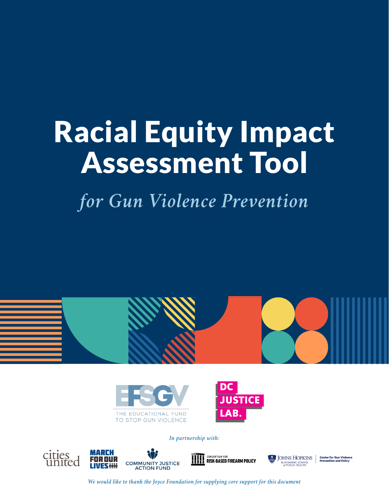# Racial Equity Impact Assessment Tool

*for Gun Violence Prevention*



*We would like to thank the Joyce Foundation for supplying core support for this document*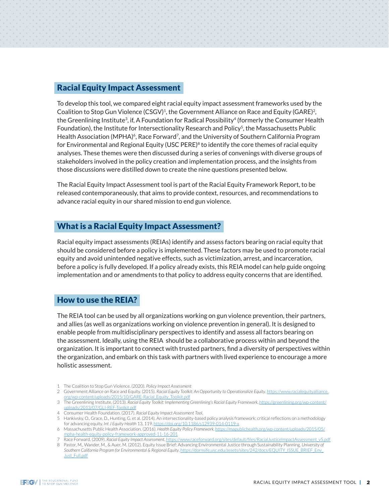#### Racial Equity Impact Assessment

To develop this tool, we compared eight racial equity impact assessment frameworks used by the Coalition to Stop Gun Violence (CSGV)<sup>1</sup>, the Government Alliance on Race and Equity (GARE)<sup>2</sup>, the Greenlining Institute<sup>3</sup>, if, A Foundation for Radical Possibility<sup>4</sup> (formerly the Consumer Health Foundation), the Institute for Intersectionality Research and Policy<sup>5</sup>, the Massachusetts Public Health Association (MPHA)<sup>6</sup>, Race Forward<sup>7</sup>, and the University of Southern California Program for Environmental and Regional Equity (USC PERE) $8$  to identify the core themes of racial equity analyses. These themes were then discussed during a series of convenings with diverse groups of stakeholders involved in the policy creation and implementation process, and the insights from those discussions were distilled down to create the nine questions presented below.

The Racial Equity Impact Assessment tool is part of the Racial Equity Framework Report, to be released contemporaneously, that aims to provide context, resources, and recommendations to advance racial equity in our shared mission to end gun violence.

### What is a Racial Equity Impact Assessment?

Racial equity impact assessments (REIAs) identify and assess factors bearing on racial equity that should be considered before a policy is implemented. These factors may be used to promote racial equity and avoid unintended negative effects, such as victimization, arrest, and incarceration, before a policy is fully developed. If a policy already exists, this REIA model can help guide ongoing implementation and or amendments to that policy to address equity concerns that are identified.

# How to use the REIA?

The REIA tool can be used by all organizations working on gun violence prevention, their partners, and allies (as well as organizations working on violence prevention in general). It is designed to enable people from multidisciplinary perspectives to identify and assess all factors bearing on the assessment. Ideally, using the REIA should be a collaborative process within and beyond the organization. It is important to connect with trusted partners, find a diversity of perspectives within the organization, and embark on this task with partners with lived experience to encourage a more holistic assessment.

- 1 The Coalition to Stop Gun Violence. (2020). *Policy Impact Assessment*
- 2 Government Alliance on Race and Equity. (2015). *Racial Equity Toolkit: An Opportunity to Operationalize Equity*. [https://www.racialequityalliance.](https://www.racialequityalliance.org/wp-content/uploads/2015/10/GARE-Racial_Equity_Toolkit.pdf) [org/wp-content/uploads/2015/10/GARE-Racial\\_Equity\\_Toolkit.pdf](https://www.racialequityalliance.org/wp-content/uploads/2015/10/GARE-Racial_Equity_Toolkit.pdf)
- 3 The Greenlining Institute. (2013). *Racial Equity Toolkit: Implementing Greenlining's Racial Equity Framework.* [https://greenlining.org/wp-content/](https://greenlining.org/wp-content/uploads/2013/07/GLI-REF-Toolkit.pdf) [uploads/2013/07/GLI-REF-Toolkit.pdf](https://greenlining.org/wp-content/uploads/2013/07/GLI-REF-Toolkit.pdf)
- 4 Consumer Health Foundation. (2017). *Racial Equity Impact Assessment Tool*.
- 5 Hankivsky, O., Grace, D., Hunting, G. et al. (2014). An intersectionality-based policy analysis framework: criticalreflections on a methodology for advancing equity. *Int J Equity Health* 13, 119.<https://doi.org/10.1186/s12939-014-0119-x>
- 6 Massachusetts Public Health Association. (2016). Health Equity Policy Framework. https://mapub [mpha-health-equity-policy-framework-approved-11-16-201](https://mapublichealth.org/wp-content/uploads/2015/05/mpha-health-equity-policy-framework-approved-11-16-2016.pdf)
- 7 Race Forward. (2009). *Racial Equity Impact Assessment*. [https://www.raceforward.org/sites/default/files/RacialJusticeImpactAssessment\\_v5.pdf](https://www.raceforward.org/sites/default/files/RacialJusticeImpactAssessment_v5.pdf)

8 Pastor, M., Wander, M., & Auer, M. (2012). Equity Issue Brief: Advancing Environmental Justice through Sustainability Planning. *University of Southern California Program for Environmental & Regional Equity*. [https://dornsife.usc.edu/assets/sites/242/docs/EQUITY\\_ISSUE\\_BRIEF\\_Env\\_](https://dornsife.usc.edu/assets/sites/242/docs/EQUITY_ISSUE_BRIEF_Env_Just_Full.pdf) [Just\\_Full.pdf](https://dornsife.usc.edu/assets/sites/242/docs/EQUITY_ISSUE_BRIEF_Env_Just_Full.pdf)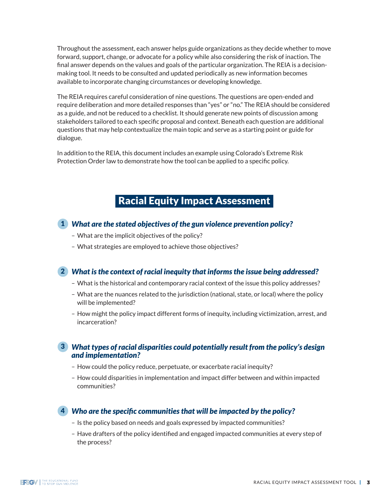Throughout the assessment, each answer helps guide organizations as they decide whether to move forward, support, change, or advocate for a policy while also considering the risk of inaction. The final answer depends on the values and goals of the particular organization. The REIA is a decisionmaking tool. It needs to be consulted and updated periodically as new information becomes available to incorporate changing circumstances or developing knowledge.

The REIA requires careful consideration of nine questions. The questions are open-ended and require deliberation and more detailed responses than "yes" or "no." The REIA should be considered as a guide, and not be reduced to a checklist. It should generate new points of discussion among stakeholders tailored to each specific proposal and context. Beneath each question are additional questions that may help contextualize the main topic and serve as a starting point or guide for dialogue.

In addition to the REIA, this document includes an example using Colorado's Extreme Risk Protection Order law to demonstrate how the tool can be applied to a specific policy.

# Racial Equity Impact Assessment

## *What are the stated objectives of the gun violence prevention policy?* 1

- What are the implicit objectives of the policy?
- What strategies are employed to achieve those objectives?

# *What is the context of racial inequity that informs the issue being addressed?* 2

- What is the historical and contemporary racial context of the issue this policy addresses?
- What are the nuances related to the jurisdiction (national, state, or local) where the policy will be implemented?
- How might the policy impact different forms of inequity, including victimization, arrest, and incarceration?

#### *What types of racial disparities could potentially result from the policy's design*  3 *and implementation?*

- How could the policy reduce, perpetuate, or exacerbate racial inequity?
- How could disparities in implementation and impact differ between and within impacted communities?

# *Who are the specific communities that will be impacted by the policy?* 4

- Is the policy based on needs and goals expressed by impacted communities?
- Have drafters of the policy identified and engaged impacted communities at every step of the process?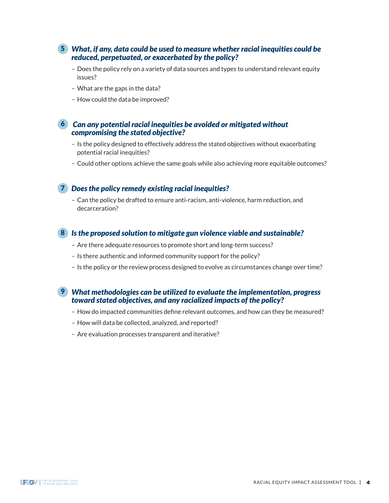#### *What, if any, data could be used to measure whether racial inequities could be*  5 *reduced, perpetuated, or exacerbated by the policy?*

- Does the policy rely on a variety of data sources and types to understand relevant equity issues?
- What are the gaps in the data?
- How could the data be improved?

#### *Can any potential racial inequities be avoided or mitigated without*  6 *compromising the stated objective?*

- Is the policy designed to effectively address the stated objectives without exacerbating potential racial inequities?
- Could other options achieve the same goals while also achieving more equitable outcomes?

#### *Does the policy remedy existing racial inequities?* 7

– Can the policy be drafted to ensure anti-racism, anti-violence, harm reduction, and decarceration?

#### *Is the proposed solution to mitigate gun violence viable and sustainable?* 8

- Are there adequate resources to promote short and long-term success?
- Is there authentic and informed community support for the policy?
- Is the policy or the review process designed to evolve as circumstances change over time?

#### *What methodologies can be utilized to evaluate the implementation, progress*  9*toward stated objectives, and any racialized impacts of the policy?*

- How do impacted communities define relevant outcomes, and how can they be measured?
- How will data be collected, analyzed, and reported?
- Are evaluation processes transparent and iterative?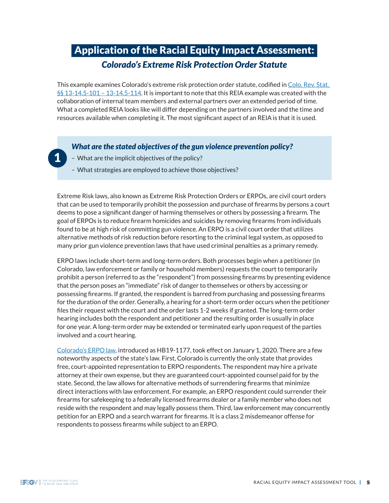# Application of the Racial Equity Impact Assessment: *Colorado's Extreme Risk Protection Order Statute*

This example examines Colorado's extreme risk protection order statute, codified in Colo. Rev. Stat.  $\S$ § 13-14.5-101 – 13-14.5-114. It is important to note that this REIA example was created with the collaboration of internal team members and external partners over an extended period of time. What a completed REIA looks like will differ depending on the partners involved and the time and resources available when completing it. The most significant aspect of an REIA is that it is used.

#### *What are the stated objectives of the gun violence prevention policy?*

- What are the implicit objectives of the policy?
- What strategies are employed to achieve those objectives?

Extreme Risk laws, also known as Extreme Risk Protection Orders or ERPOs, are civil court orders that can be used to temporarily prohibit the possession and purchase of firearms by persons a court deems to pose a significant danger of harming themselves or others by possessing a firearm. The goal of ERPOs is to reduce firearm homicides and suicides by removing firearms from individuals found to be at high risk of committing gun violence. An ERPO is a civil court order that utilizes alternative methods of risk reduction before resorting to the criminal legal system, as opposed to many prior gun violence prevention laws that have used criminal penalties as a primary remedy.

ERPO laws include short-term and long-term orders. Both processes begin when a petitioner (in Colorado, law enforcement or family or household members) requests the court to temporarily prohibit a person (referred to as the "respondent") from possessing firearms by presenting evidence that the person poses an "immediate" risk of danger to themselves or others by accessing or possessing firearms. If granted, the respondent is barred from purchasing and possessing firearms for the duration of the order. Generally, a hearing for a short-term order occurs when the petitioner files their request with the court and the order lasts 1-2 weeks if granted. The long-term order hearing includes both the respondent and petitioner and the resulting order is usually in place for one year. A long-term order may be extended or terminated early upon request of the parties involved and a court hearing.

[Colorado's ERPO law](https://leg.colorado.gov/bills/hb19-1177), introduced as HB19-1177, took effect on January 1, 2020. There are a few noteworthy aspects of the state's law. First, Colorado is currently the only state that provides free, court-appointed representation to ERPO respondents. The respondent may hire a private attorney at their own expense, but they are guaranteed court-appointed counsel paid for by the state. Second, the law allows for alternative methods of surrendering firearms that minimize direct interactions with law enforcement. For example, an ERPO respondent could surrender their firearms for safekeeping to a federally licensed firearms dealer or a family member who does not reside with the respondent and may legally possess them. Third, law enforcement may concurrently petition for an ERPO and a search warrant for firearms. It is a class 2 misdemeanor offense for respondents to possess firearms while subject to an ERPO.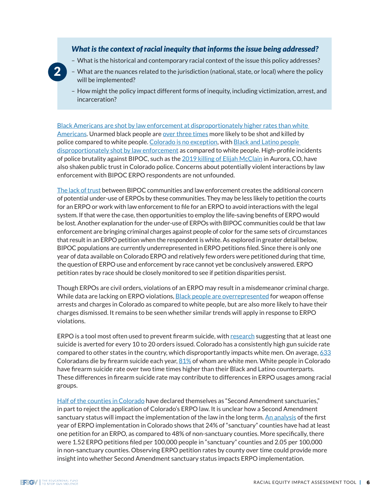#### *What is the context of racial inequity that informs the issue being addressed?*

– What is the historical and contemporary racial context of the issue this policy addresses?



- What are the nuances related to the jurisdiction (national, state, or local) where the policy will be implemented?
- How might the policy impact different forms of inequity, including victimization, arrest, and incarceration?

[Black Americans are shot by law enforcement at disproportionately higher rates than white](https://www.washingtonpost.com/graphics/investigations/police-shootings-database/)  [Americans](https://www.washingtonpost.com/graphics/investigations/police-shootings-database/). Unarmed black people are [over three times](https://pubmed.ncbi.nlm.nih.gov/33109524/) more likely to be shot and killed by police compared to white people. [Colorado is no exception](https://www.denverpost.com/2020/06/06/controversial-police-deaths-in-colorado/), with [Black and Latino people](https://krdo.com/news/2020/06/18/police-shooting-data-shows-higher-risk-for-black-and-hispanic-coloradans/)  [disproportionately shot by law enforcement](https://krdo.com/news/2020/06/18/police-shooting-data-shows-higher-risk-for-black-and-hispanic-coloradans/) as compared to white people. High-profile incidents of police brutality against BIPOC, such as the [2019 killing of Elijah McClain](https://apnews.com/article/police-colorado-denver-police-brutality-759ea1fc64ddf043e0c1356da49ddf46) in Aurora, CO, have also shaken public trust in Colorado police. Concerns about potentially violent interactions by law enforcement with BIPOC ERPO respondents are not unfounded.

[The lack of trust](https://sentinelcolorado.com/orecent-headlines/mutual-mistrust-a-year-after-stunning-elijah-mcclain-protests-change-and-closure-eludes-aurora/) between BIPOC communities and law enforcement creates the additional concern of potential under-use of ERPOs by these communities. They may be less likely to petition the courts for an ERPO or work with law enforcement to file for an ERPO to avoid interactions with the legal system. If that were the case, then opportunities to employ the life-saving benefits of ERPO would be lost. Another explanation for the under-use of ERPOs with BIPOC communities could be that law enforcement are bringing criminal charges against people of color for the same sets of circumstances that result in an ERPO petition when the respondent is white. As explored in greater detail below, BIPOC populations are currently underrepresented in ERPO petitions filed. Since there is only one year of data available on Colorado ERPO and relatively few orders were petitioned during that time, the question of ERPO use and enforcement by race cannot yet be conclusively answered. ERPO petition rates by race should be closely monitored to see if petition disparities persist.

Though ERPOs are civil orders, violations of an ERPO may result in a misdemeanor criminal charge. While data are lacking on ERPO violations, [Black people are overrepresented](https://cdpsdocs.state.co.us/ors/Data/SB185/2017-Map/MapFrameJD.html?District=) for weapon offense arrests and charges in Colorado as compared to white people, but are also more likely to have their charges dismissed. It remains to be seen whether similar trends will apply in response to ERPO violations.

ERPO is a tool most often used to prevent firearm suicide, with [research](http://jaapl.org/content/early/2019/04/15/JAAPL.003835-19) suggesting that at least one suicide is averted for every 10 to 20 orders issued. Colorado has a consistently high gun suicide rate compared to other states in the country, which disproportantly impacts white men. On average, [633](https://wonder.cdc.gov/controller/saved/D76/D267F965) Coloradans die by firearm suicide each year,  $81\%$  of whom are white men. White people in Colorado have firearm suicide rate over two time times higher than their Black and Latino counterparts. These differences in firearm suicide rate may contribute to differences in ERPO usages among racial groups.

[Half of the counties in Colorado](https://www.9news.com/article/news/local/next/these-colorado-counties-have-declared-themselves-2nd-amendment-sanctuaries-as-red-flag-bill-progresses/73-a23bcba7-63c7-4a50-a26a-9e1e8a2b91ef) have declared themselves as "Second Amendment sanctuaries," in part to reject the application of Colorado's ERPO law. It is unclear how a Second Amendment sanctuary status will impact the implementation of the law in the long term. [An analysis](https://www.ncbi.nlm.nih.gov/pmc/articles/PMC8527814/) of the first year of ERPO implementation in Colorado shows that 24% of "sanctuary" counties have had at least one petition for an ERPO, as compared to 48% of non-sanctuary counties. More specifically, there were 1.52 ERPO petitions filed per 100,000 people in "sanctuary" counties and 2.05 per 100,000 in non-sanctuary counties. Observing ERPO petition rates by county over time could provide more insight into whether Second Amendment sanctuary status impacts ERPO implementation.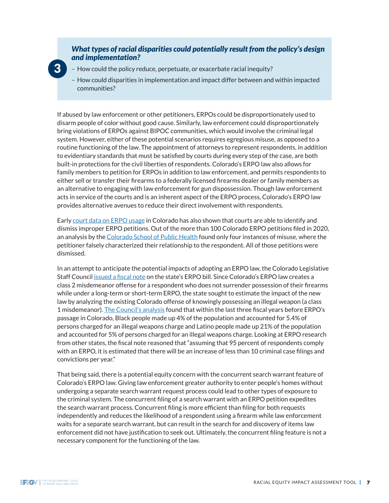#### *What types of racial disparities could potentially result from the policy's design and implementation?*

- How could the policy reduce, perpetuate, or exacerbate racial inequity?
- How could disparities in implementation and impact differ between and within impacted communities?

If abused by law enforcement or other petitioners, ERPOs could be disproportionately used to disarm people of color without good cause. Similarly, law enforcement could disproportionately bring violations of ERPOs against BIPOC communities, which would involve the criminal legal system. However, either of these potential scenarios requires egregious misuse, as opposed to a routine functioning of the law. The appointment of attorneys to represent respondents, in addition to evidentiary standards that must be satisfied by courts during every step of the case, are both built-in protections for the civil liberties of respondents. Colorado's ERPO law also allows for family members to petition for ERPOs in addition to law enforcement, and permits respondents to either sell or transfer their firearms to a federally licensed firearms dealer or family members as an alternative to engaging with law enforcement for gun dispossession. Though law enforcement acts in service of the courts and is an inherent aspect of the ERPO process, Colorado's ERPO law provides alternative avenues to reduce their direct involvement with respondents.

Early [court data on ERPO usage](https://coag.gov/app/uploads/2021/08/First-year-implementation-of-Colorado-violence-prevention-act.pdf) in Colorado has also shown that courts are able to identify and dismiss improper ERPO petitions. Out of the more than 100 Colorado ERPO petitions filed in 2020, an analysis by the [Colorado School of Public Health](https://www.ncbi.nlm.nih.gov/pmc/articles/PMC8527814/) found only four instances of misuse, where the petitioner falsely characterized their relationship to the respondent. All of those petitions were dismissed.

In an attempt to anticipate the potential impacts of adopting an ERPO law, the Colorado Legislative Staff Council [issued a fiscal note](https://leg.colorado.gov/sites/default/files/documents/2019A/bills/fn/2019a_hb1177_r2.pdf) on the state's ERPO bill. Since Colorado's ERPO law creates a class 2 misdemeanor offense for a respondent who does not surrender possession of their firearms while under a long-term or short-term ERPO, the state sought to estimate the impact of the new law by analyzing the existing Colorado offense of knowingly possessing an illegal weapon (a class 1 misdemeanor). [The Council's analysis](https://leg.colorado.gov/sites/default/files/documents/2019A/bills/fn/2019a_hb1177_r2.pdf) found that within the last three fiscal years before ERPO's passage in Colorado, Black people made up 4% of the population and accounted for 5.4% of persons charged for an illegal weapons charge and Latino people made up 21% of the population and accounted for 5% of persons charged for an illegal weapons charge. Looking at ERPO research from other states, the fiscal note reasoned that "assuming that 95 percent of respondents comply with an ERPO, it is estimated that there will be an increase of less than 10 criminal case filings and convictions per year."

That being said, there is a potential equity concern with the concurrent search warrant feature of Colorado's ERPO law. Giving law enforcement greater authority to enter people's homes without undergoing a separate search warrant request process could lead to other types of exposure to the criminal system. The concurrent filing of a search warrant with an ERPO petition expedites the search warrant process. Concurrent filing is more efficient than filing for both requests independently and reduces the likelihood of a respondent using a firearm while law enforcement waits for a separate search warrant, but can result in the search for and discovery of items law enforcement did not have justification to seek out. Ultimately, the concurrent filing feature is not a necessary component for the functioning of the law.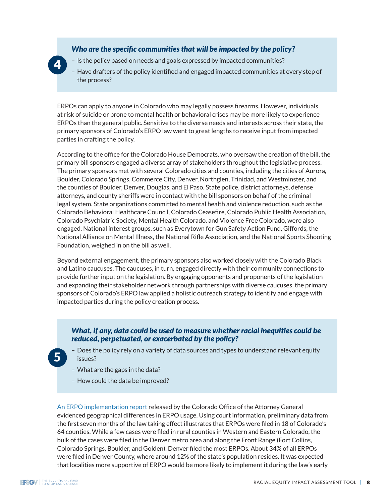#### *Who are the specific communities that will be impacted by the policy?*

- Is the policy based on needs and goals expressed by impacted communities?
- Have drafters of the policy identified and engaged impacted communities at every step of the process?

ERPOs can apply to anyone in Colorado who may legally possess firearms. However, individuals at risk of suicide or prone to mental health or behavioral crises may be more likely to experience ERPOs than the general public. Sensitive to the diverse needs and interests across their state, the primary sponsors of Colorado's ERPO law went to great lengths to receive input from impacted parties in crafting the policy.

According to the office for the Colorado House Democrats, who oversaw the creation of the bill, the primary bill sponsors engaged a diverse array of stakeholders throughout the legislative process. The primary sponsors met with several Colorado cities and counties, including the cities of Aurora, Boulder, Colorado Springs, Commerce City, Denver, Northglen, Trinidad, and Westminster, and the counties of Boulder, Denver, Douglas, and El Paso. State police, district attorneys, defense attorneys, and county sheriffs were in contact with the bill sponsors on behalf of the criminal legal system. State organizations committed to mental health and violence reduction, such as the Colorado Behavioral Healthcare Council, Colorado Ceasefire, Colorado Public Health Association, Colorado Psychiatric Society, Mental Health Colorado, and Violence Free Colorado, were also engaged. National interest groups, such as Everytown for Gun Safety Action Fund, Giffords, the National Alliance on Mental Illness, the National Rifle Association, and the National Sports Shooting Foundation, weighed in on the bill as well.

Beyond external engagement, the primary sponsors also worked closely with the Colorado Black and Latino caucuses. The caucuses, in turn, engaged directly with their community connections to provide further input on the legislation. By engaging opponents and proponents of the legislation and expanding their stakeholder network through partnerships with diverse caucuses, the primary sponsors of Colorado's ERPO law applied a holistic outreach strategy to identify and engage with impacted parties during the policy creation process.

#### *What, if any, data could be used to measure whether racial inequities could be reduced, perpetuated, or exacerbated by the policy?*

- Does the policy rely on a variety of data sources and types to understand relevant equity issues?
- What are the gaps in the data?
- How could the data be improved?

[An ERPO implementation report](https://coag.gov/app/uploads/2021/08/First-year-implementation-of-Colorado-violence-prevention-act.pdf) released by the Colorado Office of the Attorney General evidenced geographical differences in ERPO usage. Using court information, preliminary data from the first seven months of the law taking effect illustrates that ERPOs were filed in 18 of Colorado's 64 counties. While a few cases were filed in rural counties in Western and Eastern Colorado, the bulk of the cases were filed in the Denver metro area and along the Front Range (Fort Collins, Colorado Springs, Boulder, and Golden). Denver filed the most ERPOs. About 34% of all ERPOs were filed in Denver County, where around 12% of the state's population resides. It was expected that localities more supportive of ERPO would be more likely to implement it during the law's early

5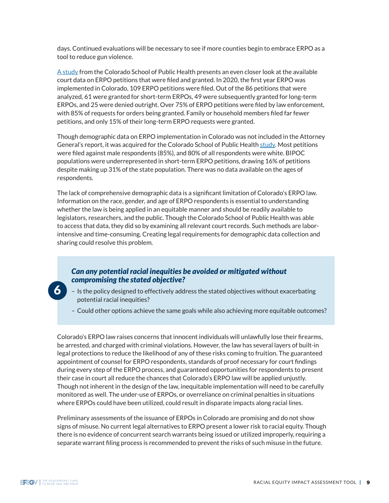days. Continued evaluations will be necessary to see if more counties begin to embrace ERPO as a tool to reduce gun violence.

[A study](https://www.ncbi.nlm.nih.gov/pmc/articles/PMC8527814/) from the Colorado School of Public Health presents an even closer look at the available court data on ERPO petitions that were filed and granted. In 2020, the first year ERPO was implemented in Colorado, 109 ERPO petitions were filed. Out of the 86 petitions that were analyzed, 61 were granted for short-term ERPOs, 49 were subsequently granted for long-term ERPOs, and 25 were denied outright. Over 75% of ERPO petitions were filed by law enforcement, with 85% of requests for orders being granted. Family or household members filed far fewer petitions, and only 15% of their long-term ERPO requests were granted.

Though demographic data on ERPO implementation in Colorado was not included in the Attorney General's report, it was acquired for the Colorado School of Public Health [study](https://www.ncbi.nlm.nih.gov/pmc/articles/PMC8527814/). Most petitions were filed against male respondents (85%), and 80% of all respondents were white. BIPOC populations were underrepresented in short-term ERPO petitions, drawing 16% of petitions despite making up 31% of the state population. There was no data available on the ages of respondents.

The lack of comprehensive demographic data is a significant limitation of Colorado's ERPO law. Information on the race, gender, and age of ERPO respondents is essential to understanding whether the law is being applied in an equitable manner and should be readily available to legislators, researchers, and the public. Though the Colorado School of Public Health was able to access that data, they did so by examining all relevant court records. Such methods are laborintensive and time-consuming. Creating legal requirements for demographic data collection and sharing could resolve this problem.

#### *Can any potential racial inequities be avoided or mitigated without compromising the stated objective?*

- Is the policy designed to effectively address the stated objectives without exacerbating potential racial inequities?
- Could other options achieve the same goals while also achieving more equitable outcomes?

Colorado's ERPO law raises concerns that innocent individuals will unlawfully lose their firearms, be arrested, and charged with criminal violations. However, the law has several layers of built-in legal protections to reduce the likelihood of any of these risks coming to fruition. The guaranteed appointment of counsel for ERPO respondents, standards of proof necessary for court findings during every step of the ERPO process, and guaranteed opportunities for respondents to present their case in court all reduce the chances that Colorado's ERPO law will be applied unjustly. Though not inherent in the design of the law, inequitable implementation will need to be carefully monitored as well. The under-use of ERPOs, or overreliance on criminal penalties in situations where ERPOs could have been utilized, could result in disparate impacts along racial lines.

Preliminary assessments of the issuance of ERPOs in Colorado are promising and do not show signs of misuse. No current legal alternatives to ERPO present a lower risk to racial equity. Though there is no evidence of concurrent search warrants being issued or utilized improperly, requiring a separate warrant filing process is recommended to prevent the risks of such misuse in the future.